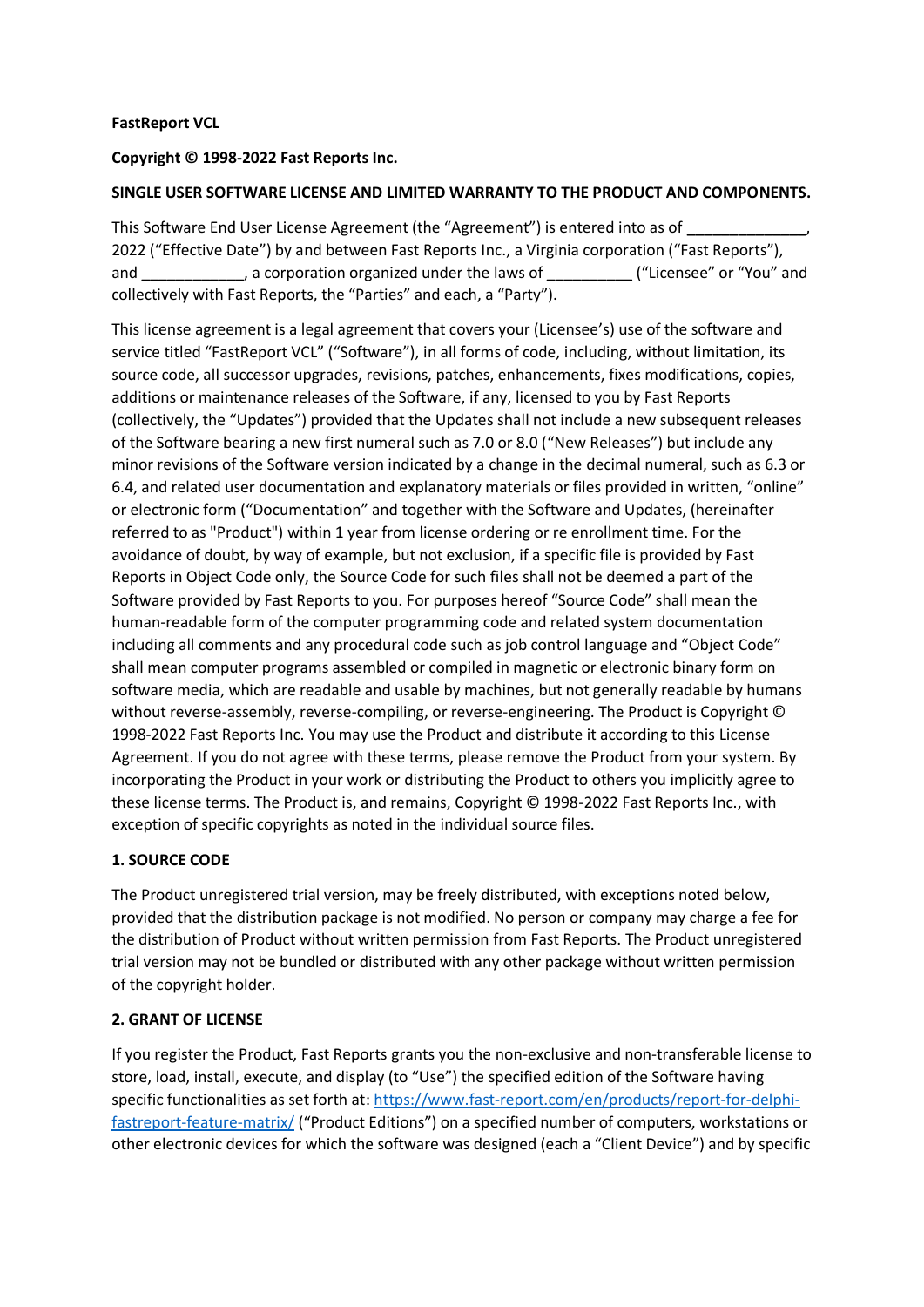### **FastReport VCL**

### **Copyright © 1998-2022 Fast Reports Inc.**

### **SINGLE USER SOFTWARE LICENSE AND LIMITED WARRANTY TO THE PRODUCT AND COMPONENTS.**

This Software End User License Agreement (the "Agreement") is entered into as of **\_\_\_\_\_\_\_\_\_\_\_\_\_\_**, 2022 ("Effective Date") by and between Fast Reports Inc., a Virginia corporation ("Fast Reports"), and **\_\_\_\_\_\_\_\_\_\_\_\_**, a corporation organized under the laws of **\_\_\_\_\_\_\_\_\_\_** ("Licensee" or "You" and collectively with Fast Reports, the "Parties" and each, a "Party").

This license agreement is a legal agreement that covers your (Licensee's) use of the software and service titled "FastReport VCL" ("Software"), in all forms of code, including, without limitation, its source code, all successor upgrades, revisions, patches, enhancements, fixes modifications, copies, additions or maintenance releases of the Software, if any, licensed to you by Fast Reports (collectively, the "Updates") provided that the Updates shall not include a new subsequent releases of the Software bearing a new first numeral such as 7.0 or 8.0 ("New Releases") but include any minor revisions of the Software version indicated by a change in the decimal numeral, such as 6.3 or 6.4, and related user documentation and explanatory materials or files provided in written, "online" or electronic form ("Documentation" and together with the Software and Updates, (hereinafter referred to as "Product") within 1 year from license ordering or re enrollment time. For the avoidance of doubt, by way of example, but not exclusion, if a specific file is provided by Fast Reports in Object Code only, the Source Code for such files shall not be deemed a part of the Software provided by Fast Reports to you. For purposes hereof "Source Code" shall mean the human-readable form of the computer programming code and related system documentation including all comments and any procedural code such as job control language and "Object Code" shall mean computer programs assembled or compiled in magnetic or electronic binary form on software media, which are readable and usable by machines, but not generally readable by humans without reverse-assembly, reverse-compiling, or reverse-engineering. The Product is Copyright © 1998-2022 Fast Reports Inc. You may use the Product and distribute it according to this License Agreement. If you do not agree with these terms, please remove the Product from your system. By incorporating the Product in your work or distributing the Product to others you implicitly agree to these license terms. The Product is, and remains, Copyright © 1998-2022 Fast Reports Inc., with exception of specific copyrights as noted in the individual source files.

## **1. SOURCE CODE**

The Product unregistered trial version, may be freely distributed, with exceptions noted below, provided that the distribution package is not modified. No person or company may charge a fee for the distribution of Product without written permission from Fast Reports. The Product unregistered trial version may not be bundled or distributed with any other package without written permission of the copyright holder.

## **2. GRANT OF LICENSE**

If you register the Product, Fast Reports grants you the non-exclusive and non-transferable license to store, load, install, execute, and display (to "Use") the specified edition of the Software having specific functionalities as set forth at: [https://www.fast-report.com/en/products/report-for-delphi](https://www.fast-report.com/en/products/report-for-delphi-fastreport-feature-matrix/)[fastreport-feature-matrix/](https://www.fast-report.com/en/products/report-for-delphi-fastreport-feature-matrix/) ("Product Editions") on a specified number of computers, workstations or other electronic devices for which the software was designed (each a "Client Device") and by specific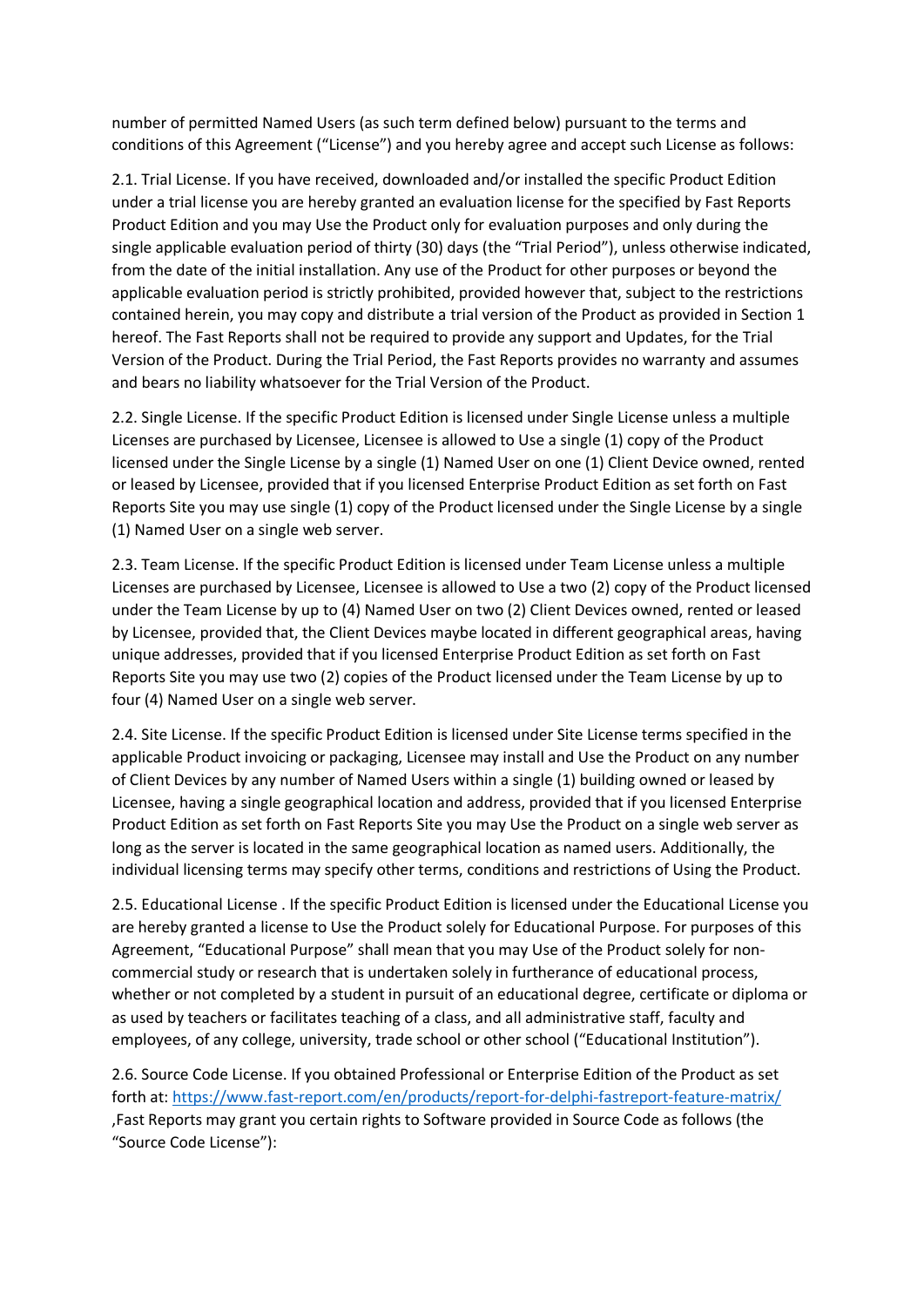number of permitted Named Users (as such term defined below) pursuant to the terms and conditions of this Agreement ("License") and you hereby agree and accept such License as follows:

2.1. Trial License. If you have received, downloaded and/or installed the specific Product Edition under a trial license you are hereby granted an evaluation license for the specified by Fast Reports Product Edition and you may Use the Product only for evaluation purposes and only during the single applicable evaluation period of thirty (30) days (the "Trial Period"), unless otherwise indicated, from the date of the initial installation. Any use of the Product for other purposes or beyond the applicable evaluation period is strictly prohibited, provided however that, subject to the restrictions contained herein, you may copy and distribute a trial version of the Product as provided in Section 1 hereof. The Fast Reports shall not be required to provide any support and Updates, for the Trial Version of the Product. During the Trial Period, the Fast Reports provides no warranty and assumes and bears no liability whatsoever for the Trial Version of the Product.

2.2. Single License. If the specific Product Edition is licensed under Single License unless a multiple Licenses are purchased by Licensee, Licensee is allowed to Use a single (1) copy of the Product licensed under the Single License by a single (1) Named User on one (1) Client Device owned, rented or leased by Licensee, provided that if you licensed Enterprise Product Edition as set forth on Fast Reports Site you may use single (1) copy of the Product licensed under the Single License by a single (1) Named User on a single web server.

2.3. Team License. If the specific Product Edition is licensed under Team License unless a multiple Licenses are purchased by Licensee, Licensee is allowed to Use a two (2) copy of the Product licensed under the Team License by up to (4) Named User on two (2) Client Devices owned, rented or leased by Licensee, provided that, the Client Devices maybe located in different geographical areas, having unique addresses, provided that if you licensed Enterprise Product Edition as set forth on Fast Reports Site you may use two (2) copies of the Product licensed under the Team License by up to four (4) Named User on a single web server.

2.4. Site License. If the specific Product Edition is licensed under Site License terms specified in the applicable Product invoicing or packaging, Licensee may install and Use the Product on any number of Client Devices by any number of Named Users within a single (1) building owned or leased by Licensee, having a single geographical location and address, provided that if you licensed Enterprise Product Edition as set forth on Fast Reports Site you may Use the Product on a single web server as long as the server is located in the same geographical location as named users. Additionally, the individual licensing terms may specify other terms, conditions and restrictions of Using the Product.

2.5. Educational License . If the specific Product Edition is licensed under the Educational License you are hereby granted a license to Use the Product solely for Educational Purpose. For purposes of this Agreement, "Educational Purpose" shall mean that you may Use of the Product solely for noncommercial study or research that is undertaken solely in furtherance of educational process, whether or not completed by a student in pursuit of an educational degree, certificate or diploma or as used by teachers or facilitates teaching of a class, and all administrative staff, faculty and employees, of any college, university, trade school or other school ("Educational Institution").

2.6. Source Code License. If you obtained Professional or Enterprise Edition of the Product as set forth at:<https://www.fast-report.com/en/products/report-for-delphi-fastreport-feature-matrix/> ,Fast Reports may grant you certain rights to Software provided in Source Code as follows (the "Source Code License"):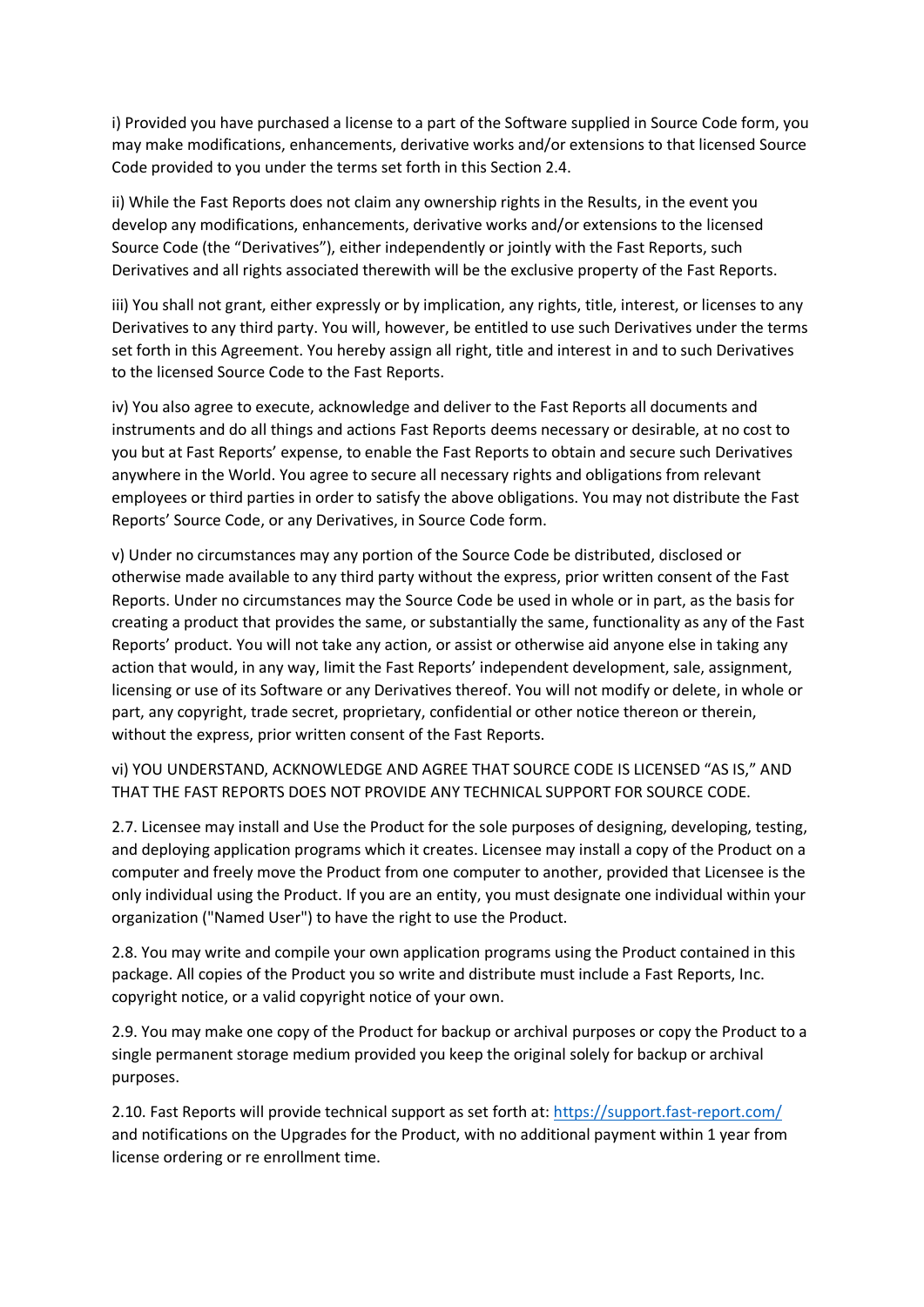i) Provided you have purchased a license to a part of the Software supplied in Source Code form, you may make modifications, enhancements, derivative works and/or extensions to that licensed Source Code provided to you under the terms set forth in this Section 2.4.

ii) While the Fast Reports does not claim any ownership rights in the Results, in the event you develop any modifications, enhancements, derivative works and/or extensions to the licensed Source Code (the "Derivatives"), either independently or jointly with the Fast Reports, such Derivatives and all rights associated therewith will be the exclusive property of the Fast Reports.

iii) You shall not grant, either expressly or by implication, any rights, title, interest, or licenses to any Derivatives to any third party. You will, however, be entitled to use such Derivatives under the terms set forth in this Agreement. You hereby assign all right, title and interest in and to such Derivatives to the licensed Source Code to the Fast Reports.

iv) You also agree to execute, acknowledge and deliver to the Fast Reports all documents and instruments and do all things and actions Fast Reports deems necessary or desirable, at no cost to you but at Fast Reports' expense, to enable the Fast Reports to obtain and secure such Derivatives anywhere in the World. You agree to secure all necessary rights and obligations from relevant employees or third parties in order to satisfy the above obligations. You may not distribute the Fast Reports' Source Code, or any Derivatives, in Source Code form.

v) Under no circumstances may any portion of the Source Code be distributed, disclosed or otherwise made available to any third party without the express, prior written consent of the Fast Reports. Under no circumstances may the Source Code be used in whole or in part, as the basis for creating a product that provides the same, or substantially the same, functionality as any of the Fast Reports' product. You will not take any action, or assist or otherwise aid anyone else in taking any action that would, in any way, limit the Fast Reports' independent development, sale, assignment, licensing or use of its Software or any Derivatives thereof. You will not modify or delete, in whole or part, any copyright, trade secret, proprietary, confidential or other notice thereon or therein, without the express, prior written consent of the Fast Reports.

vi) YOU UNDERSTAND, ACKNOWLEDGE AND AGREE THAT SOURCE CODE IS LICENSED "AS IS," AND THAT THE FAST REPORTS DOES NOT PROVIDE ANY TECHNICAL SUPPORT FOR SOURCE CODE.

2.7. Licensee may install and Use the Product for the sole purposes of designing, developing, testing, and deploying application programs which it creates. Licensee may install a copy of the Product on a computer and freely move the Product from one computer to another, provided that Licensee is the only individual using the Product. If you are an entity, you must designate one individual within your organization ("Named User") to have the right to use the Product.

2.8. You may write and compile your own application programs using the Product contained in this package. All copies of the Product you so write and distribute must include a Fast Reports, Inc. copyright notice, or a valid copyright notice of your own.

2.9. You may make one copy of the Product for backup or archival purposes or copy the Product to a single permanent storage medium provided you keep the original solely for backup or archival purposes.

2.10. Fast Reports will provide technical support as set forth at:<https://support.fast-report.com/> and notifications on the Upgrades for the Product, with no additional payment within 1 year from license ordering or re enrollment time.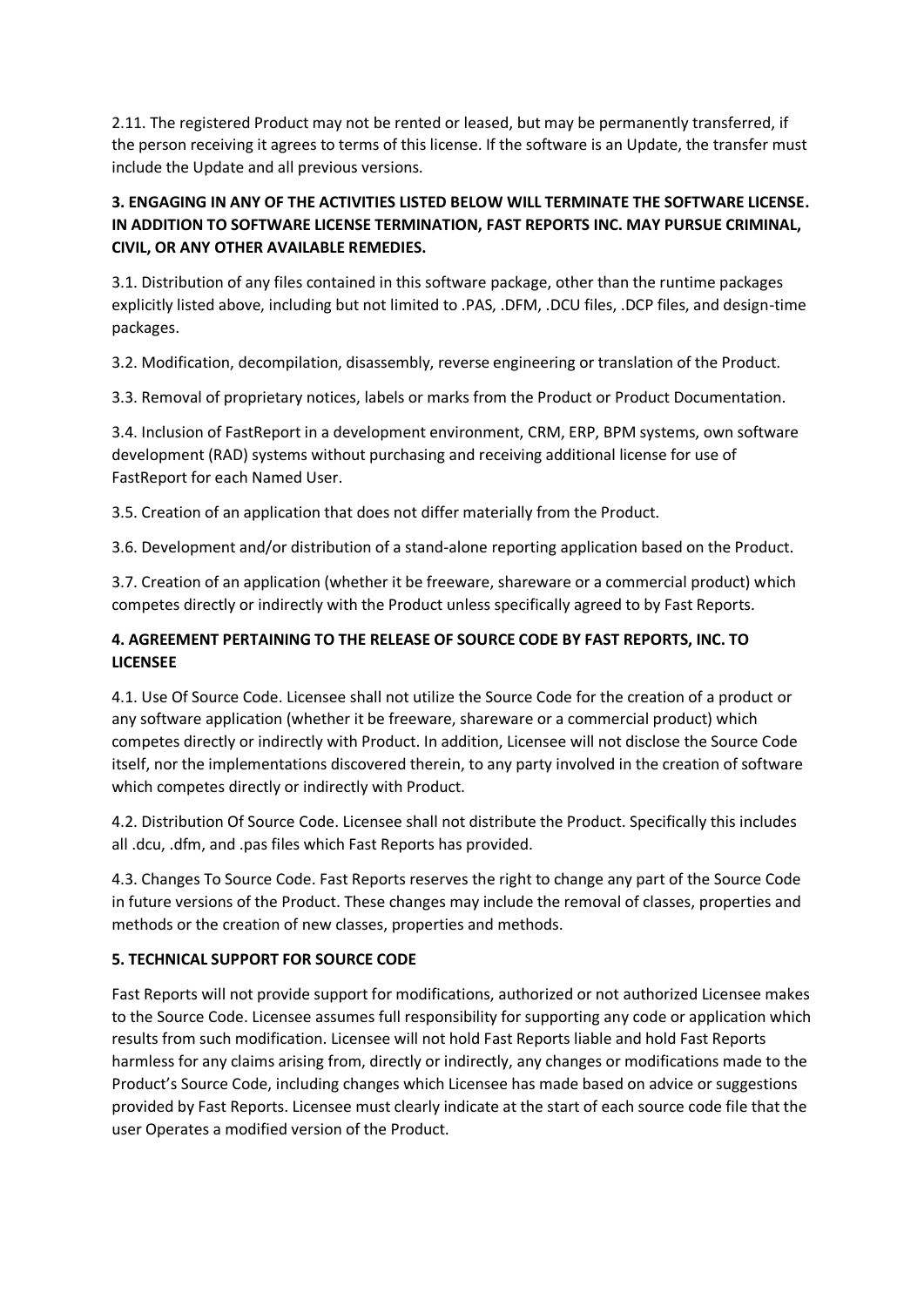2.11. The registered Product may not be rented or leased, but may be permanently transferred, if the person receiving it agrees to terms of this license. If the software is an Update, the transfer must include the Update and all previous versions.

# **3. ENGAGING IN ANY OF THE ACTIVITIES LISTED BELOW WILL TERMINATE THE SOFTWARE LICENSE. IN ADDITION TO SOFTWARE LICENSE TERMINATION, FAST REPORTS INC. MAY PURSUE CRIMINAL, CIVIL, OR ANY OTHER AVAILABLE REMEDIES.**

3.1. Distribution of any files contained in this software package, other than the runtime packages explicitly listed above, including but not limited to .PAS, .DFM, .DCU files, .DCP files, and design-time packages.

3.2. Modification, decompilation, disassembly, reverse engineering or translation of the Product.

3.3. Removal of proprietary notices, labels or marks from the Product or Product Documentation.

3.4. Inclusion of FastReport in a development environment, CRM, ERP, BPM systems, own software development (RAD) systems without purchasing and receiving additional license for use of FastReport for each Named User.

3.5. Creation of an application that does not differ materially from the Product.

3.6. Development and/or distribution of a stand-alone reporting application based on the Product.

3.7. Creation of an application (whether it be freeware, shareware or a commercial product) which competes directly or indirectly with the Product unless specifically agreed to by Fast Reports.

# **4. AGREEMENT PERTAINING TO THE RELEASE OF SOURCE CODE BY FAST REPORTS, INC. TO LICENSEE**

4.1. Use Of Source Code. Licensee shall not utilize the Source Code for the creation of a product or any software application (whether it be freeware, shareware or a commercial product) which competes directly or indirectly with Product. In addition, Licensee will not disclose the Source Code itself, nor the implementations discovered therein, to any party involved in the creation of software which competes directly or indirectly with Product.

4.2. Distribution Of Source Code. Licensee shall not distribute the Product. Specifically this includes all .dcu, .dfm, and .pas files which Fast Reports has provided.

4.3. Changes To Source Code. Fast Reports reserves the right to change any part of the Source Code in future versions of the Product. These changes may include the removal of classes, properties and methods or the creation of new classes, properties and methods.

#### **5. TECHNICAL SUPPORT FOR SOURCE CODE**

Fast Reports will not provide support for modifications, authorized or not authorized Licensee makes to the Source Code. Licensee assumes full responsibility for supporting any code or application which results from such modification. Licensee will not hold Fast Reports liable and hold Fast Reports harmless for any claims arising from, directly or indirectly, any changes or modifications made to the Product's Source Code, including changes which Licensee has made based on advice or suggestions provided by Fast Reports. Licensee must clearly indicate at the start of each source code file that the user Operates a modified version of the Product.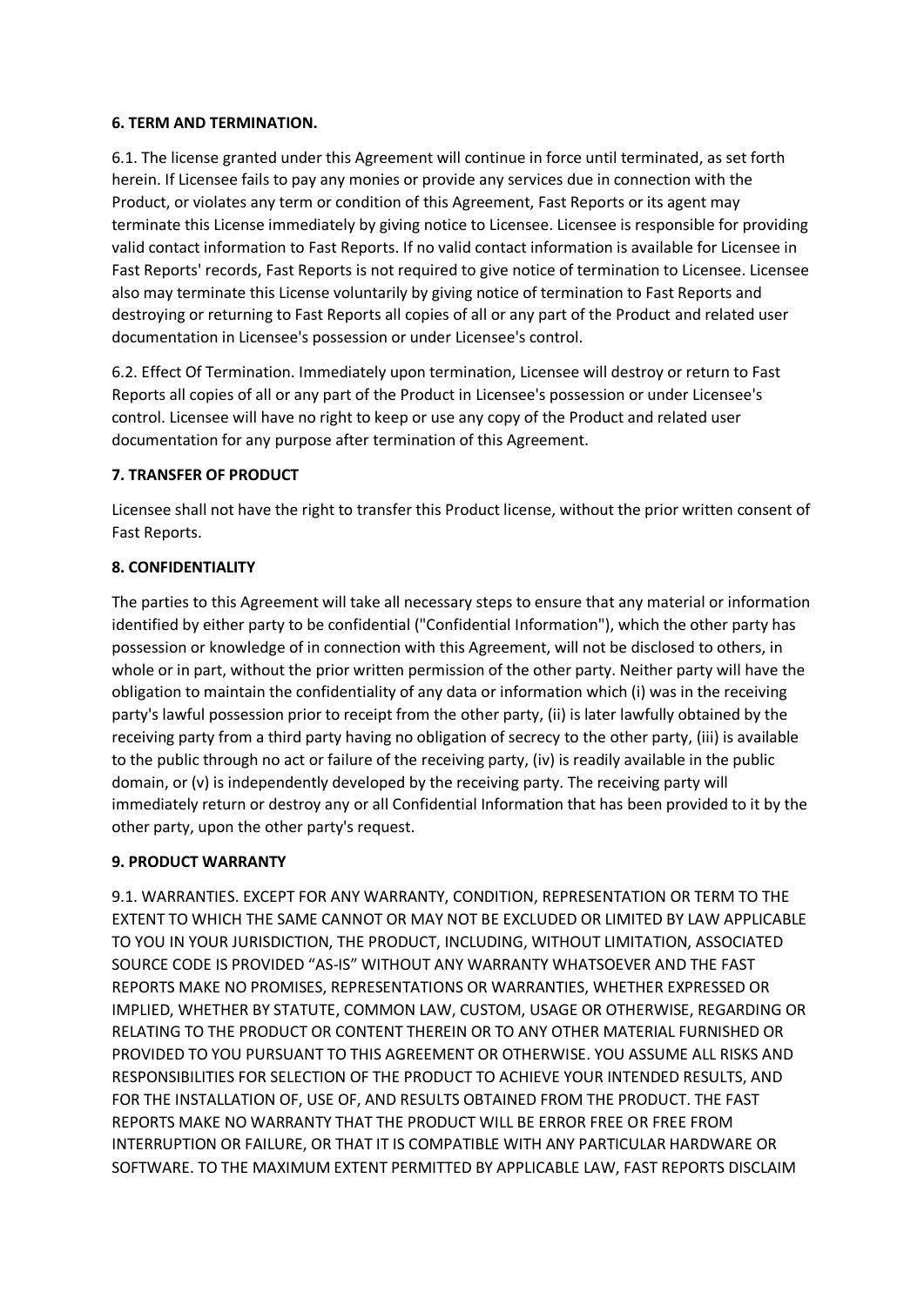### **6. TERM AND TERMINATION.**

6.1. The license granted under this Agreement will continue in force until terminated, as set forth herein. If Licensee fails to pay any monies or provide any services due in connection with the Product, or violates any term or condition of this Agreement, Fast Reports or its agent may terminate this License immediately by giving notice to Licensee. Licensee is responsible for providing valid contact information to Fast Reports. If no valid contact information is available for Licensee in Fast Reports' records, Fast Reports is not required to give notice of termination to Licensee. Licensee also may terminate this License voluntarily by giving notice of termination to Fast Reports and destroying or returning to Fast Reports all copies of all or any part of the Product and related user documentation in Licensee's possession or under Licensee's control.

6.2. Effect Of Termination. Immediately upon termination, Licensee will destroy or return to Fast Reports all copies of all or any part of the Product in Licensee's possession or under Licensee's control. Licensee will have no right to keep or use any copy of the Product and related user documentation for any purpose after termination of this Agreement.

## **7. TRANSFER OF PRODUCT**

Licensee shall not have the right to transfer this Product license, without the prior written consent of Fast Reports.

### **8. CONFIDENTIALITY**

The parties to this Agreement will take all necessary steps to ensure that any material or information identified by either party to be confidential ("Confidential Information"), which the other party has possession or knowledge of in connection with this Agreement, will not be disclosed to others, in whole or in part, without the prior written permission of the other party. Neither party will have the obligation to maintain the confidentiality of any data or information which (i) was in the receiving party's lawful possession prior to receipt from the other party, (ii) is later lawfully obtained by the receiving party from a third party having no obligation of secrecy to the other party, (iii) is available to the public through no act or failure of the receiving party, (iv) is readily available in the public domain, or (v) is independently developed by the receiving party. The receiving party will immediately return or destroy any or all Confidential Information that has been provided to it by the other party, upon the other party's request.

## **9. PRODUCT WARRANTY**

9.1. WARRANTIES. EXCEPT FOR ANY WARRANTY, CONDITION, REPRESENTATION OR TERM TO THE EXTENT TO WHICH THE SAME CANNOT OR MAY NOT BE EXCLUDED OR LIMITED BY LAW APPLICABLE TO YOU IN YOUR JURISDICTION, THE PRODUCT, INCLUDING, WITHOUT LIMITATION, ASSOCIATED SOURCE CODE IS PROVIDED "AS-IS" WITHOUT ANY WARRANTY WHATSOEVER AND THE FAST REPORTS MAKE NO PROMISES, REPRESENTATIONS OR WARRANTIES, WHETHER EXPRESSED OR IMPLIED, WHETHER BY STATUTE, COMMON LAW, CUSTOM, USAGE OR OTHERWISE, REGARDING OR RELATING TO THE PRODUCT OR CONTENT THEREIN OR TO ANY OTHER MATERIAL FURNISHED OR PROVIDED TO YOU PURSUANT TO THIS AGREEMENT OR OTHERWISE. YOU ASSUME ALL RISKS AND RESPONSIBILITIES FOR SELECTION OF THE PRODUCT TO ACHIEVE YOUR INTENDED RESULTS, AND FOR THE INSTALLATION OF, USE OF, AND RESULTS OBTAINED FROM THE PRODUCT. THE FAST REPORTS MAKE NO WARRANTY THAT THE PRODUCT WILL BE ERROR FREE OR FREE FROM INTERRUPTION OR FAILURE, OR THAT IT IS COMPATIBLE WITH ANY PARTICULAR HARDWARE OR SOFTWARE. TO THE MAXIMUM EXTENT PERMITTED BY APPLICABLE LAW, FAST REPORTS DISCLAIM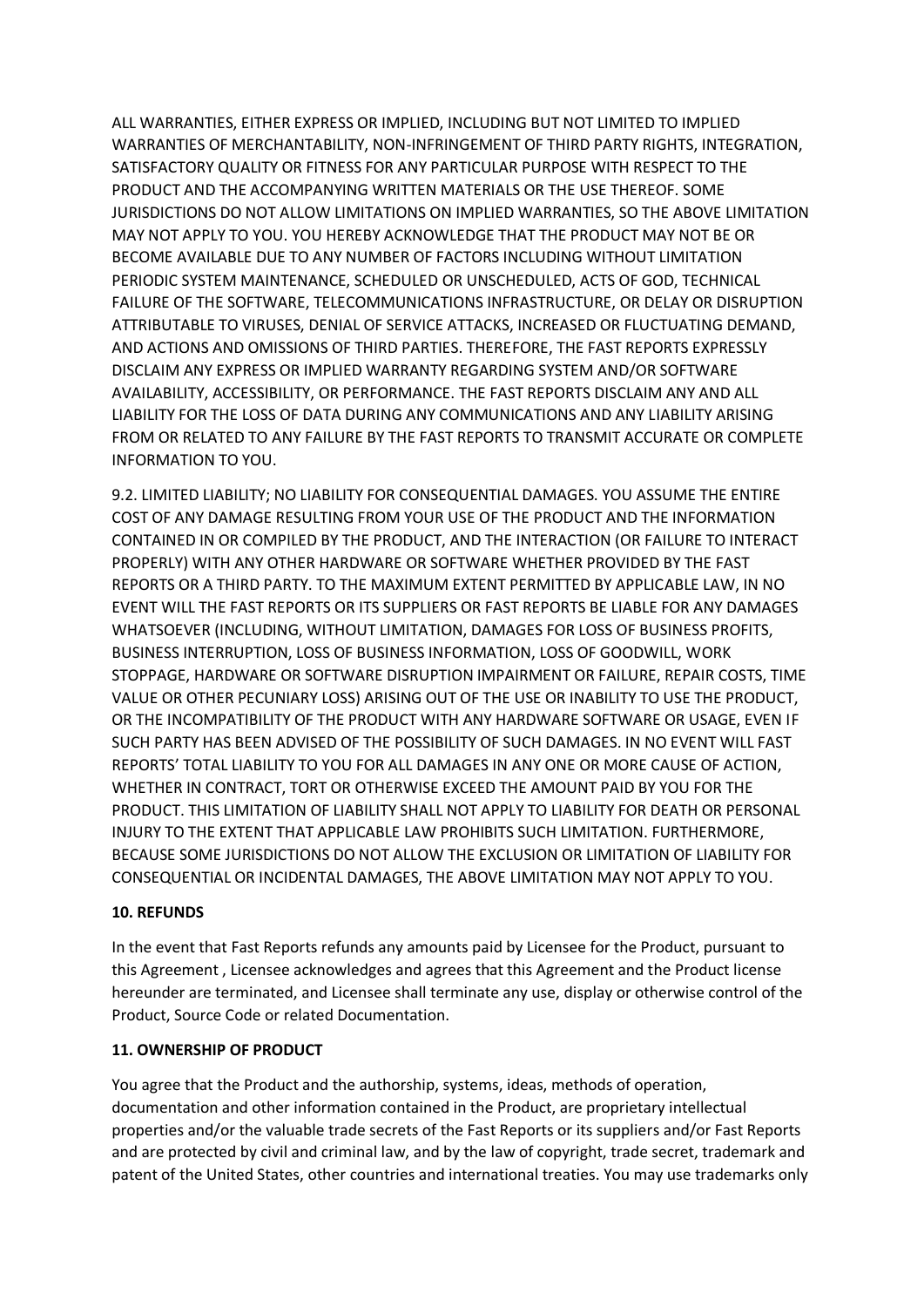ALL WARRANTIES, EITHER EXPRESS OR IMPLIED, INCLUDING BUT NOT LIMITED TO IMPLIED WARRANTIES OF MERCHANTABILITY, NON-INFRINGEMENT OF THIRD PARTY RIGHTS, INTEGRATION, SATISFACTORY QUALITY OR FITNESS FOR ANY PARTICULAR PURPOSE WITH RESPECT TO THE PRODUCT AND THE ACCOMPANYING WRITTEN MATERIALS OR THE USE THEREOF. SOME JURISDICTIONS DO NOT ALLOW LIMITATIONS ON IMPLIED WARRANTIES, SO THE ABOVE LIMITATION MAY NOT APPLY TO YOU. YOU HEREBY ACKNOWLEDGE THAT THE PRODUCT MAY NOT BE OR BECOME AVAILABLE DUE TO ANY NUMBER OF FACTORS INCLUDING WITHOUT LIMITATION PERIODIC SYSTEM MAINTENANCE, SCHEDULED OR UNSCHEDULED, ACTS OF GOD, TECHNICAL FAILURE OF THE SOFTWARE, TELECOMMUNICATIONS INFRASTRUCTURE, OR DELAY OR DISRUPTION ATTRIBUTABLE TO VIRUSES, DENIAL OF SERVICE ATTACKS, INCREASED OR FLUCTUATING DEMAND, AND ACTIONS AND OMISSIONS OF THIRD PARTIES. THEREFORE, THE FAST REPORTS EXPRESSLY DISCLAIM ANY EXPRESS OR IMPLIED WARRANTY REGARDING SYSTEM AND/OR SOFTWARE AVAILABILITY, ACCESSIBILITY, OR PERFORMANCE. THE FAST REPORTS DISCLAIM ANY AND ALL LIABILITY FOR THE LOSS OF DATA DURING ANY COMMUNICATIONS AND ANY LIABILITY ARISING FROM OR RELATED TO ANY FAILURE BY THE FAST REPORTS TO TRANSMIT ACCURATE OR COMPLETE INFORMATION TO YOU.

9.2. LIMITED LIABILITY; NO LIABILITY FOR CONSEQUENTIAL DAMAGES. YOU ASSUME THE ENTIRE COST OF ANY DAMAGE RESULTING FROM YOUR USE OF THE PRODUCT AND THE INFORMATION CONTAINED IN OR COMPILED BY THE PRODUCT, AND THE INTERACTION (OR FAILURE TO INTERACT PROPERLY) WITH ANY OTHER HARDWARE OR SOFTWARE WHETHER PROVIDED BY THE FAST REPORTS OR A THIRD PARTY. TO THE MAXIMUM EXTENT PERMITTED BY APPLICABLE LAW, IN NO EVENT WILL THE FAST REPORTS OR ITS SUPPLIERS OR FAST REPORTS BE LIABLE FOR ANY DAMAGES WHATSOEVER (INCLUDING, WITHOUT LIMITATION, DAMAGES FOR LOSS OF BUSINESS PROFITS, BUSINESS INTERRUPTION, LOSS OF BUSINESS INFORMATION, LOSS OF GOODWILL, WORK STOPPAGE, HARDWARE OR SOFTWARE DISRUPTION IMPAIRMENT OR FAILURE, REPAIR COSTS, TIME VALUE OR OTHER PECUNIARY LOSS) ARISING OUT OF THE USE OR INABILITY TO USE THE PRODUCT, OR THE INCOMPATIBILITY OF THE PRODUCT WITH ANY HARDWARE SOFTWARE OR USAGE, EVEN IF SUCH PARTY HAS BEEN ADVISED OF THE POSSIBILITY OF SUCH DAMAGES. IN NO EVENT WILL FAST REPORTS' TOTAL LIABILITY TO YOU FOR ALL DAMAGES IN ANY ONE OR MORE CAUSE OF ACTION, WHETHER IN CONTRACT, TORT OR OTHERWISE EXCEED THE AMOUNT PAID BY YOU FOR THE PRODUCT. THIS LIMITATION OF LIABILITY SHALL NOT APPLY TO LIABILITY FOR DEATH OR PERSONAL INJURY TO THE EXTENT THAT APPLICABLE LAW PROHIBITS SUCH LIMITATION. FURTHERMORE, BECAUSE SOME JURISDICTIONS DO NOT ALLOW THE EXCLUSION OR LIMITATION OF LIABILITY FOR CONSEQUENTIAL OR INCIDENTAL DAMAGES, THE ABOVE LIMITATION MAY NOT APPLY TO YOU.

## **10. REFUNDS**

In the event that Fast Reports refunds any amounts paid by Licensee for the Product, pursuant to this Agreement , Licensee acknowledges and agrees that this Agreement and the Product license hereunder are terminated, and Licensee shall terminate any use, display or otherwise control of the Product, Source Code or related Documentation.

#### **11. OWNERSHIP OF PRODUCT**

You agree that the Product and the authorship, systems, ideas, methods of operation, documentation and other information contained in the Product, are proprietary intellectual properties and/or the valuable trade secrets of the Fast Reports or its suppliers and/or Fast Reports and are protected by civil and criminal law, and by the law of copyright, trade secret, trademark and patent of the United States, other countries and international treaties. You may use trademarks only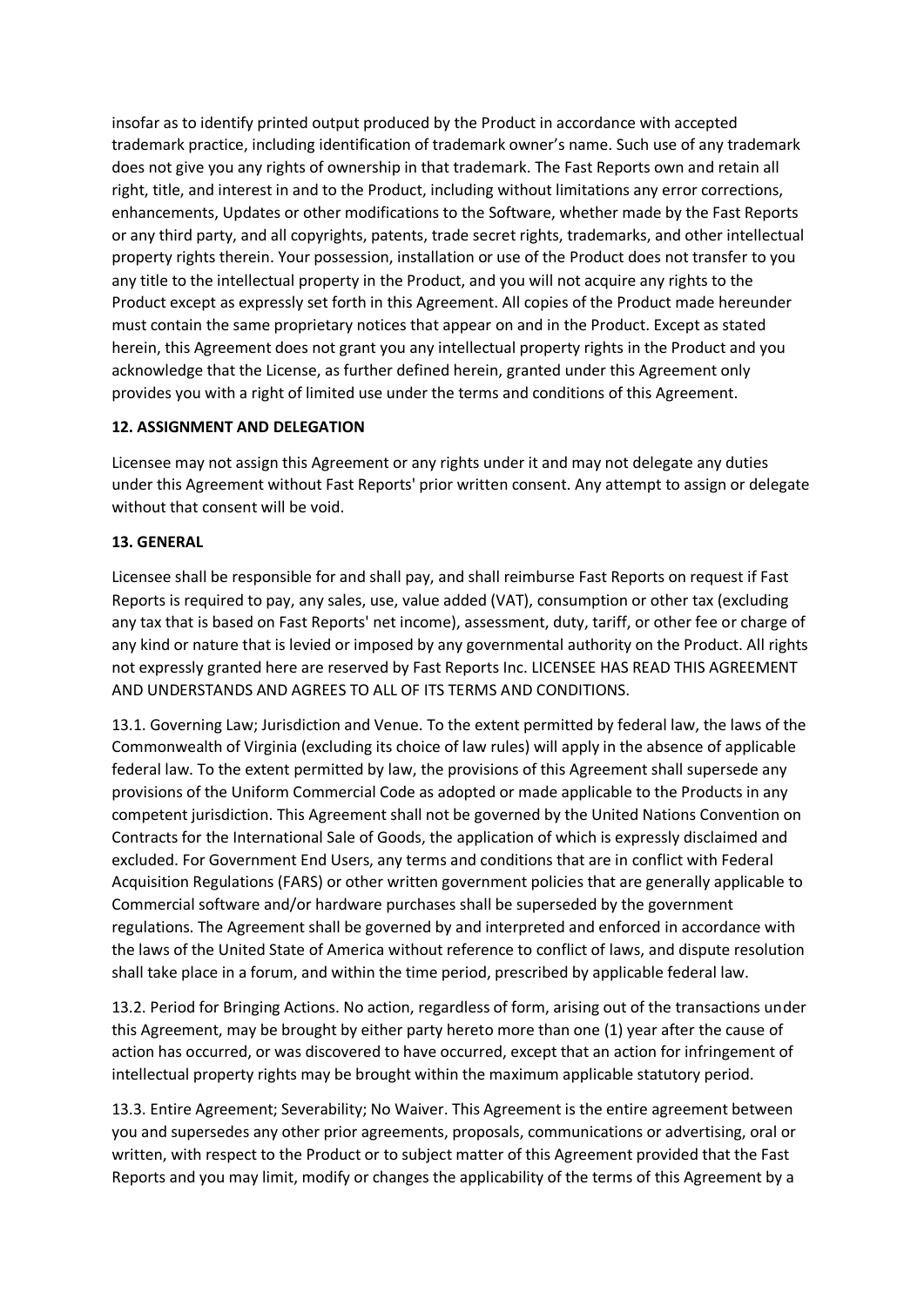insofar as to identify printed output produced by the Product in accordance with accepted trademark practice, including identification of trademark owner's name. Such use of any trademark does not give you any rights of ownership in that trademark. The Fast Reports own and retain all right, title, and interest in and to the Product, including without limitations any error corrections, enhancements, Updates or other modifications to the Software, whether made by the Fast Reports or any third party, and all copyrights, patents, trade secret rights, trademarks, and other intellectual property rights therein. Your possession, installation or use of the Product does not transfer to you any title to the intellectual property in the Product, and you will not acquire any rights to the Product except as expressly set forth in this Agreement. All copies of the Product made hereunder must contain the same proprietary notices that appear on and in the Product. Except as stated herein, this Agreement does not grant you any intellectual property rights in the Product and you acknowledge that the License, as further defined herein, granted under this Agreement only provides you with a right of limited use under the terms and conditions of this Agreement.

## **12. ASSIGNMENT AND DELEGATION**

Licensee may not assign this Agreement or any rights under it and may not delegate any duties under this Agreement without Fast Reports' prior written consent. Any attempt to assign or delegate without that consent will be void.

### **13. GENERAL**

Licensee shall be responsible for and shall pay, and shall reimburse Fast Reports on request if Fast Reports is required to pay, any sales, use, value added (VAT), consumption or other tax (excluding any tax that is based on Fast Reports' net income), assessment, duty, tariff, or other fee or charge of any kind or nature that is levied or imposed by any governmental authority on the Product. All rights not expressly granted here are reserved by Fast Reports Inc. LICENSEE HAS READ THIS AGREEMENT AND UNDERSTANDS AND AGREES TO ALL OF ITS TERMS AND CONDITIONS.

13.1. Governing Law; Jurisdiction and Venue. To the extent permitted by federal law, the laws of the Commonwealth of Virginia (excluding its choice of law rules) will apply in the absence of applicable federal law. To the extent permitted by law, the provisions of this Agreement shall supersede any provisions of the Uniform Commercial Code as adopted or made applicable to the Products in any competent jurisdiction. This Agreement shall not be governed by the United Nations Convention on Contracts for the International Sale of Goods, the application of which is expressly disclaimed and excluded. For Government End Users, any terms and conditions that are in conflict with Federal Acquisition Regulations (FARS) or other written government policies that are generally applicable to Commercial software and/or hardware purchases shall be superseded by the government regulations. The Agreement shall be governed by and interpreted and enforced in accordance with the laws of the United State of America without reference to conflict of laws, and dispute resolution shall take place in a forum, and within the time period, prescribed by applicable federal law.

13.2. Period for Bringing Actions. No action, regardless of form, arising out of the transactions under this Agreement, may be brought by either party hereto more than one (1) year after the cause of action has occurred, or was discovered to have occurred, except that an action for infringement of intellectual property rights may be brought within the maximum applicable statutory period.

13.3. Entire Agreement; Severability; No Waiver. This Agreement is the entire agreement between you and supersedes any other prior agreements, proposals, communications or advertising, oral or written, with respect to the Product or to subject matter of this Agreement provided that the Fast Reports and you may limit, modify or changes the applicability of the terms of this Agreement by a